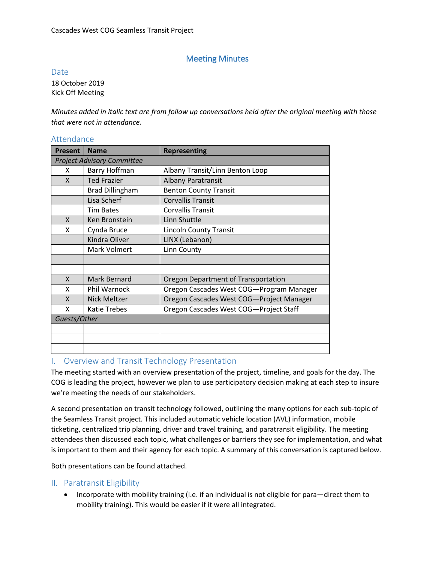# Meeting Minutes

#### Date

18 October 2019 Kick Off Meeting

*Minutes added in italic text are from follow up conversations held after the original meeting with those that were not in attendance.* 

| AUCHUMIC                          |                        |                                          |  |  |  |  |  |  |
|-----------------------------------|------------------------|------------------------------------------|--|--|--|--|--|--|
| <b>Present</b>                    | <b>Name</b>            | <b>Representing</b>                      |  |  |  |  |  |  |
| <b>Project Advisory Committee</b> |                        |                                          |  |  |  |  |  |  |
| X                                 | Barry Hoffman          | Albany Transit/Linn Benton Loop          |  |  |  |  |  |  |
| X                                 | <b>Ted Frazier</b>     | <b>Albany Paratransit</b>                |  |  |  |  |  |  |
|                                   | <b>Brad Dillingham</b> | <b>Benton County Transit</b>             |  |  |  |  |  |  |
|                                   | Lisa Scherf            | <b>Corvallis Transit</b>                 |  |  |  |  |  |  |
|                                   | <b>Tim Bates</b>       | <b>Corvallis Transit</b>                 |  |  |  |  |  |  |
| X                                 | Ken Bronstein          | Linn Shuttle                             |  |  |  |  |  |  |
| x                                 | Cynda Bruce            | <b>Lincoln County Transit</b>            |  |  |  |  |  |  |
|                                   | Kindra Oliver          | LINX (Lebanon)                           |  |  |  |  |  |  |
|                                   | Mark Volmert           | Linn County                              |  |  |  |  |  |  |
|                                   |                        |                                          |  |  |  |  |  |  |
|                                   |                        |                                          |  |  |  |  |  |  |
| X                                 | Mark Bernard           | Oregon Department of Transportation      |  |  |  |  |  |  |
| X                                 | Phil Warnock           | Oregon Cascades West COG-Program Manager |  |  |  |  |  |  |
| X                                 | <b>Nick Meltzer</b>    | Oregon Cascades West COG-Project Manager |  |  |  |  |  |  |
| X                                 | <b>Katie Trebes</b>    | Oregon Cascades West COG-Project Staff   |  |  |  |  |  |  |
| Guests/Other                      |                        |                                          |  |  |  |  |  |  |
|                                   |                        |                                          |  |  |  |  |  |  |
|                                   |                        |                                          |  |  |  |  |  |  |
|                                   |                        |                                          |  |  |  |  |  |  |
|                                   |                        |                                          |  |  |  |  |  |  |

### $A++$

### I. Overview and Transit Technology Presentation

The meeting started with an overview presentation of the project, timeline, and goals for the day. The COG is leading the project, however we plan to use participatory decision making at each step to insure we're meeting the needs of our stakeholders.

A second presentation on transit technology followed, outlining the many options for each sub-topic of the Seamless Transit project. This included automatic vehicle location (AVL) information, mobile ticketing, centralized trip planning, driver and travel training, and paratransit eligibility. The meeting attendees then discussed each topic, what challenges or barriers they see for implementation, and what is important to them and their agency for each topic. A summary of this conversation is captured below.

Both presentations can be found attached.

### II. Paratransit Eligibility

• Incorporate with mobility training (i.e. if an individual is not eligible for para—direct them to mobility training). This would be easier if it were all integrated.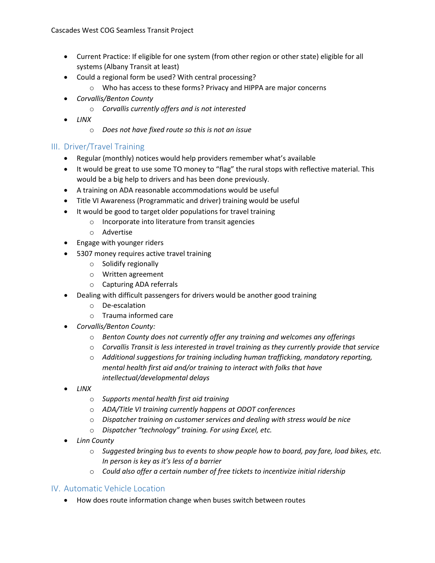- Current Practice: If eligible for one system (from other region or other state) eligible for all systems (Albany Transit at least)
- Could a regional form be used? With central processing?
	- o Who has access to these forms? Privacy and HIPPA are major concerns
- *Corvallis/Benton County*
	- o *Corvallis currently offers and is not interested*
- *LINX*
	- o *Does not have fixed route so this is not an issue*

## III. Driver/Travel Training

- Regular (monthly) notices would help providers remember what's available
- It would be great to use some TO money to "flag" the rural stops with reflective material. This would be a big help to drivers and has been done previously.
- A training on ADA reasonable accommodations would be useful
- Title VI Awareness (Programmatic and driver) training would be useful
- It would be good to target older populations for travel training
	- o Incorporate into literature from transit agencies
	- o Advertise
- Engage with younger riders
- 5307 money requires active travel training
	- o Solidify regionally
	- o Written agreement
	- o Capturing ADA referrals
- Dealing with difficult passengers for drivers would be another good training
	- o De-escalation
	- o Trauma informed care
- *Corvallis/Benton County:*
	- o *Benton County does not currently offer any training and welcomes any offerings*
	- o *Corvallis Transit is less interested in travel training as they currently provide that service*
	- o *Additional suggestions for training including human trafficking, mandatory reporting, mental health first aid and/or training to interact with folks that have intellectual/developmental delays*
- *LINX* 
	- o *Supports mental health first aid training*
	- o *ADA/Title VI training currently happens at ODOT conferences*
	- o *Dispatcher training on customer services and dealing with stress would be nice*
	- o *Dispatcher "technology" training. For using Excel, etc.*
- *Linn County*
	- o *Suggested bringing bus to events to show people how to board, pay fare, load bikes, etc. In person is key as it's less of a barrier*
	- o *Could also offer a certain number of free tickets to incentivize initial ridership*

### IV. Automatic Vehicle Location

• How does route information change when buses switch between routes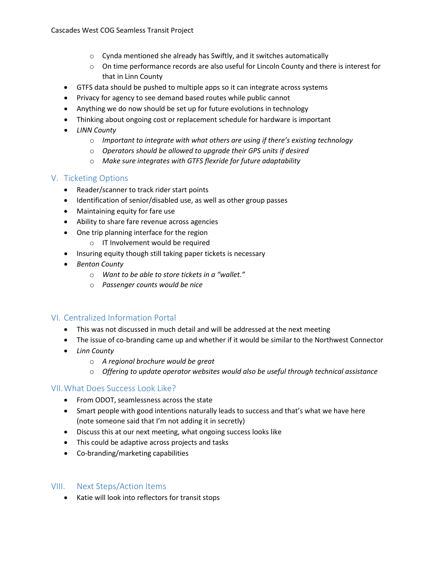- o Cynda mentioned she already has Swiftly, and it switches automatically
- o On time performance records are also useful for Lincoln County and there is interest for that in Linn County
- GTFS data should be pushed to multiple apps so it can integrate across systems
- Privacy for agency to see demand based routes while public cannot
- Anything we do now should be set up for future evolutions in technology
- Thinking about ongoing cost or replacement schedule for hardware is important
- *LINN County*
	- o *Important to integrate with what others are using if there's existing technology*
	- o *Operators should be allowed to upgrade their GPS units if desired*
	- o *Make sure integrates with GTFS flexride for future adaptability*

### V. Ticketing Options

- Reader/scanner to track rider start points
- Identification of senior/disabled use, as well as other group passes
- Maintaining equity for fare use
- Ability to share fare revenue across agencies
- One trip planning interface for the region
	- o IT Involvement would be required
- Insuring equity though still taking paper tickets is necessary
- *Benton County*
	- o *Want to be able to store tickets in a "wallet."*
	- o *Passenger counts would be nice*

## VI. Centralized Information Portal

- This was not discussed in much detail and will be addressed at the next meeting
- The issue of co-branding came up and whether if it would be similar to the Northwest Connector
- *Linn County*
	- o *A regional brochure would be great*
	- o *Offering to update operator websites would also be useful through technical assistance*

### VII.What Does Success Look Like?

- From ODOT, seamlessness across the state
- Smart people with good intentions naturally leads to success and that's what we have here (note someone said that I'm not adding it in secretly)
- Discuss this at our next meeting, what ongoing success looks like
- This could be adaptive across projects and tasks
- Co-branding/marketing capabilities

### VIII. Next Steps/Action Items

• Katie will look into reflectors for transit stops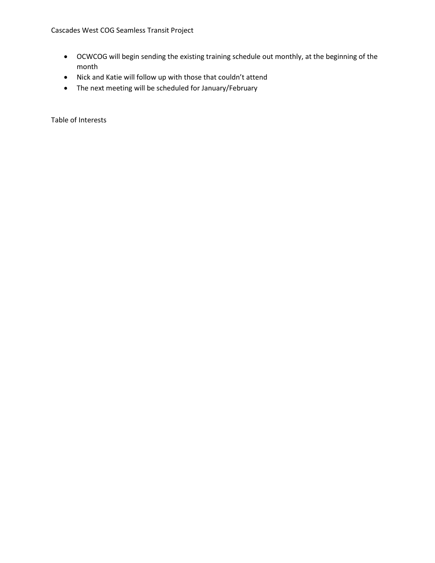- OCWCOG will begin sending the existing training schedule out monthly, at the beginning of the month
- Nick and Katie will follow up with those that couldn't attend
- The next meeting will be scheduled for January/February

Table of Interests